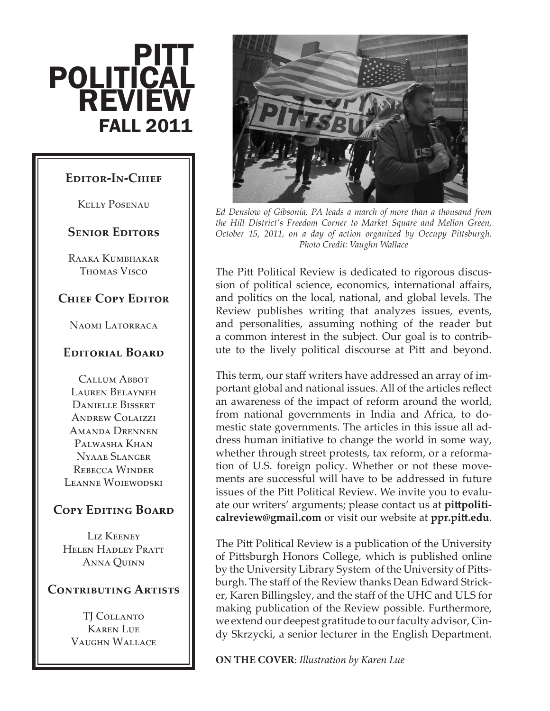# **POLITICAL REVIEW** FALL 2011 **PITT**

#### **Editor-In-Chief**

Kelly Posenau

#### **Senior Editors**

Raaka Kumbhakar Thomas Visco

### **Chief Copy Editor**

Naomi Latorraca

#### **Editorial Board**

Callum Abbot Lauren Belayneh Danielle Bissert Andrew Colaizzi Amanda Drennen Palwasha Khan Nyaae Slanger Rebecca Winder Leanne Woiewodski

### **Copy Editing Board**

LIZ KEENEY Helen Hadley Pratt Anna Quinn

#### **Contributing Artists**

TI COLLANTO Karen Lue Vaughn Wallace



*Ed Denslow of Gibsonia, PA leads a march of more than a thousand from the Hill District's Freedom Corner to Market Square and Mellon Green, October 15, 2011, on a day of action organized by Occupy Pittsburgh. Photo Credit: Vaughn Wallace*

The Pitt Political Review is dedicated to rigorous discussion of political science, economics, international affairs, and politics on the local, national, and global levels. The Review publishes writing that analyzes issues, events, and personalities, assuming nothing of the reader but a common interest in the subject. Our goal is to contribute to the lively political discourse at Pitt and beyond.

This term, our staff writers have addressed an array of important global and national issues. All of the articles reflect an awareness of the impact of reform around the world, from national governments in India and Africa, to domestic state governments. The articles in this issue all address human initiative to change the world in some way, whether through street protests, tax reform, or a reformation of U.S. foreign policy. Whether or not these movements are successful will have to be addressed in future issues of the Pitt Political Review. We invite you to evaluate our writers' arguments; please contact us at **pittpoliticalreview@gmail.com** or visit our website at **ppr.pitt.edu**.

The Pitt Political Review is a publication of the University of Pittsburgh Honors College, which is published online by the University Library System of the University of Pittsburgh. The staff of the Review thanks Dean Edward Stricker, Karen Billingsley, and the staff of the UHC and ULS for making publication of the Review possible. Furthermore, we extend our deepest gratitude to our faculty advisor, Cindy Skrzycki, a senior lecturer in the English Department.

**ON THE COVER**: *Illustration by Karen Lue*